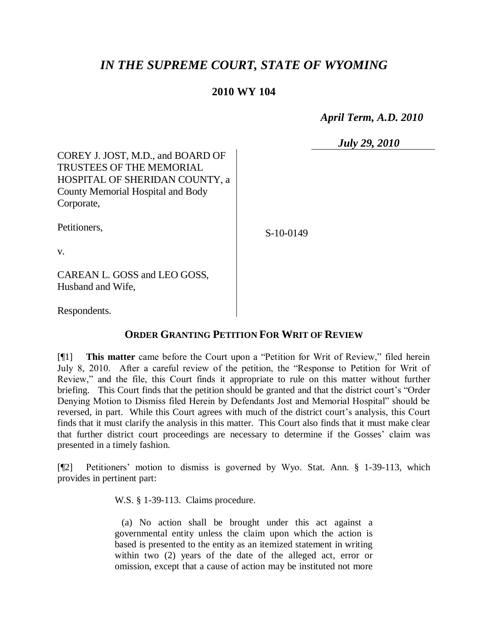## *IN THE SUPREME COURT, STATE OF WYOMING*

## **2010 WY 104**

 *April Term, A.D. 2010*

 *July 29, 2010*

COREY J. JOST, M.D., and BOARD OF TRUSTEES OF THE MEMORIAL HOSPITAL OF SHERIDAN COUNTY, a County Memorial Hospital and Body Corporate,

Petitioners,

S-10-0149

v.

CAREAN L. GOSS and LEO GOSS, Husband and Wife,

Respondents.

## **ORDER GRANTING PETITION FOR WRIT OF REVIEW**

[¶1] **This matter** came before the Court upon a "Petition for Writ of Review," filed herein July 8, 2010. After a careful review of the petition, the "Response to Petition for Writ of Review," and the file, this Court finds it appropriate to rule on this matter without further briefing. This Court finds that the petition should be granted and that the district court's "Order Denying Motion to Dismiss filed Herein by Defendants Jost and Memorial Hospital" should be reversed, in part. While this Court agrees with much of the district court's analysis, this Court finds that it must clarify the analysis in this matter. This Court also finds that it must make clear that further district court proceedings are necessary to determine if the Gosses' claim was presented in a timely fashion.

[¶2] Petitioners' motion to dismiss is governed by Wyo. Stat. Ann. § 1-39-113, which provides in pertinent part:

W.S. § 1-39-113. Claims procedure.

 (a) No action shall be brought under this act against a governmental entity unless the claim upon which the action is based is presented to the entity as an itemized statement in writing within two (2) years of the date of the alleged act, error or omission, except that a cause of action may be instituted not more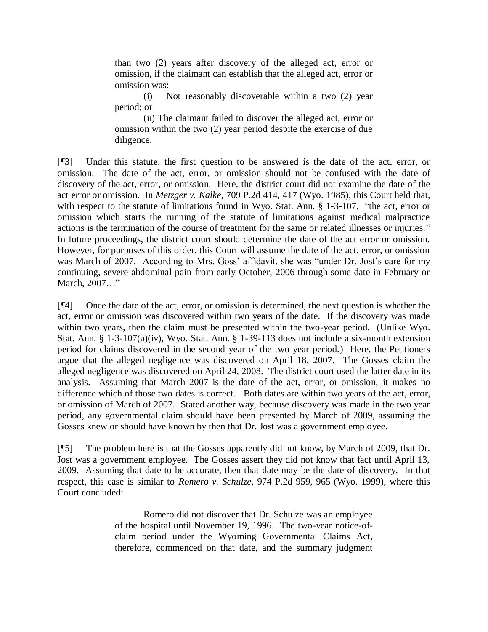than two (2) years after discovery of the alleged act, error or omission, if the claimant can establish that the alleged act, error or omission was:

(i) Not reasonably discoverable within a two (2) year period; or

(ii) The claimant failed to discover the alleged act, error or omission within the two (2) year period despite the exercise of due diligence.

[¶3] Under this statute, the first question to be answered is the date of the act, error, or omission. The date of the act, error, or omission should not be confused with the date of discovery of the act, error, or omission. Here, the district court did not examine the date of the act error or omission. In *Metzger v. Kalke*, 709 P.2d 414, 417 (Wyo. 1985), this Court held that, with respect to the statute of limitations found in Wyo. Stat. Ann. § 1-3-107, "the act, error or omission which starts the running of the statute of limitations against medical malpractice actions is the termination of the course of treatment for the same or related illnesses or injuries." In future proceedings, the district court should determine the date of the act error or omission. However, for purposes of this order, this Court will assume the date of the act, error, or omission was March of 2007. According to Mrs. Goss' affidavit, she was "under Dr. Jost's care for my continuing, severe abdominal pain from early October, 2006 through some date in February or March, 2007…"

[¶4] Once the date of the act, error, or omission is determined, the next question is whether the act, error or omission was discovered within two years of the date. If the discovery was made within two years, then the claim must be presented within the two-year period. (Unlike Wyo. Stat. Ann. § 1-3-107(a)(iv), Wyo. Stat. Ann. § 1-39-113 does not include a six-month extension period for claims discovered in the second year of the two year period.) Here, the Petitioners argue that the alleged negligence was discovered on April 18, 2007. The Gosses claim the alleged negligence was discovered on April 24, 2008. The district court used the latter date in its analysis. Assuming that March 2007 is the date of the act, error, or omission, it makes no difference which of those two dates is correct. Both dates are within two years of the act, error, or omission of March of 2007. Stated another way, because discovery was made in the two year period, any governmental claim should have been presented by March of 2009, assuming the Gosses knew or should have known by then that Dr. Jost was a government employee.

[¶5] The problem here is that the Gosses apparently did not know, by March of 2009, that Dr. Jost was a government employee. The Gosses assert they did not know that fact until April 13, 2009. Assuming that date to be accurate, then that date may be the date of discovery. In that respect, this case is similar to *Romero v. Schulze*, 974 P.2d 959, 965 (Wyo. 1999), where this Court concluded:

> Romero did not discover that Dr. Schulze was an employee of the hospital until November 19, 1996. The two-year notice-ofclaim period under the Wyoming Governmental Claims Act, therefore, commenced on that date, and the summary judgment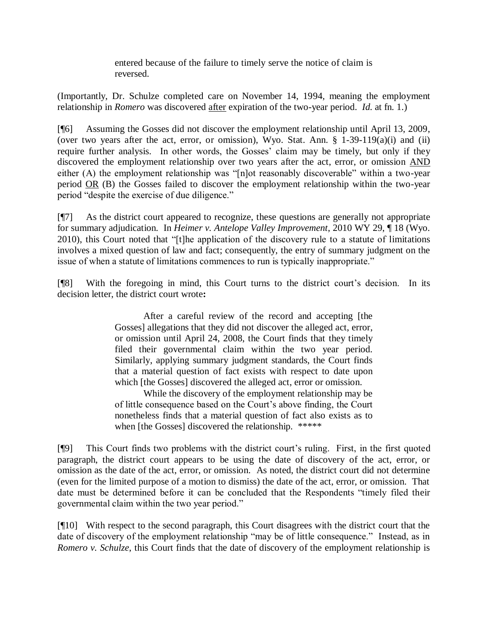entered because of the failure to timely serve the notice of claim is reversed.

(Importantly, Dr. Schulze completed care on November 14, 1994, meaning the employment relationship in *Romero* was discovered after expiration of the two-year period. *Id*. at fn. 1.)

[¶6] Assuming the Gosses did not discover the employment relationship until April 13, 2009, (over two years after the act, error, or omission), Wyo. Stat. Ann. § 1-39-119(a)(i) and (ii) require further analysis. In other words, the Gosses' claim may be timely, but only if they discovered the employment relationship over two years after the act, error, or omission AND either (A) the employment relationship was "[n]ot reasonably discoverable" within a two-year period  $OR$  (B) the Gosses failed to discover the employment relationship within the two-year period "despite the exercise of due diligence."

[¶7] As the district court appeared to recognize, these questions are generally not appropriate for summary adjudication. In *Heimer v. Antelope Valley Improvement*, 2010 WY 29, ¶ 18 (Wyo. 2010), this Court noted that "[t]he application of the discovery rule to a statute of limitations involves a mixed question of law and fact; consequently, the entry of summary judgment on the issue of when a statute of limitations commences to run is typically inappropriate."

[¶8] With the foregoing in mind, this Court turns to the district court's decision. In its decision letter, the district court wrote**:**

> After a careful review of the record and accepting [the Gosses] allegations that they did not discover the alleged act, error, or omission until April 24, 2008, the Court finds that they timely filed their governmental claim within the two year period. Similarly, applying summary judgment standards, the Court finds that a material question of fact exists with respect to date upon which [the Gosses] discovered the alleged act, error or omission.

> While the discovery of the employment relationship may be of little consequence based on the Court's above finding, the Court nonetheless finds that a material question of fact also exists as to when [the Gosses] discovered the relationship. \*\*\*\*\*

[¶9] This Court finds two problems with the district court's ruling. First, in the first quoted paragraph, the district court appears to be using the date of discovery of the act, error, or omission as the date of the act, error, or omission. As noted, the district court did not determine (even for the limited purpose of a motion to dismiss) the date of the act, error, or omission. That date must be determined before it can be concluded that the Respondents "timely filed their governmental claim within the two year period."

[¶10] With respect to the second paragraph, this Court disagrees with the district court that the date of discovery of the employment relationship "may be of little consequence." Instead, as in *Romero v. Schulze*, this Court finds that the date of discovery of the employment relationship is